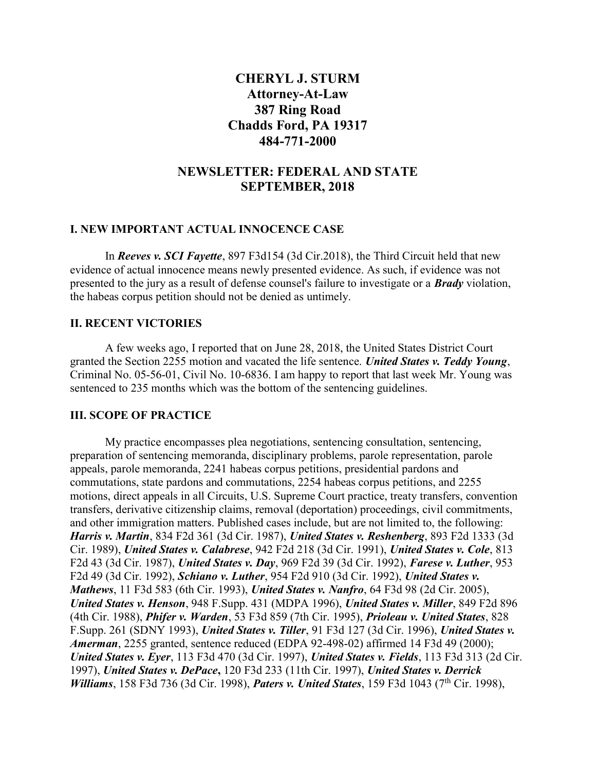# CHERYL J. STURM Attorney-At-Law 387 Ring Road Chadds Ford, PA 19317 484-771-2000

## NEWSLETTER: FEDERAL AND STATE SEPTEMBER, 2018

#### I. NEW IMPORTANT ACTUAL INNOCENCE CASE

 In Reeves v. SCI Fayette, 897 F3d154 (3d Cir.2018), the Third Circuit held that new evidence of actual innocence means newly presented evidence. As such, if evidence was not presented to the jury as a result of defense counsel's failure to investigate or a **Brady** violation, the habeas corpus petition should not be denied as untimely.

## II. RECENT VICTORIES

 A few weeks ago, I reported that on June 28, 2018, the United States District Court granted the Section 2255 motion and vacated the life sentence. United States v. Teddy Young, Criminal No. 05-56-01, Civil No. 10-6836. I am happy to report that last week Mr. Young was sentenced to 235 months which was the bottom of the sentencing guidelines.

## III. SCOPE OF PRACTICE

 My practice encompasses plea negotiations, sentencing consultation, sentencing, preparation of sentencing memoranda, disciplinary problems, parole representation, parole appeals, parole memoranda, 2241 habeas corpus petitions, presidential pardons and commutations, state pardons and commutations, 2254 habeas corpus petitions, and 2255 motions, direct appeals in all Circuits, U.S. Supreme Court practice, treaty transfers, convention transfers, derivative citizenship claims, removal (deportation) proceedings, civil commitments, and other immigration matters. Published cases include, but are not limited to, the following: Harris v. Martin, 834 F2d 361 (3d Cir. 1987), United States v. Reshenberg, 893 F2d 1333 (3d Cir. 1989), United States v. Calabrese, 942 F2d 218 (3d Cir. 1991), United States v. Cole, 813 F2d 43 (3d Cir. 1987), United States v. Day, 969 F2d 39 (3d Cir. 1992), Farese v. Luther, 953 F2d 49 (3d Cir. 1992), Schiano v. Luther, 954 F2d 910 (3d Cir. 1992), United States v. Mathews, 11 F3d 583 (6th Cir. 1993), United States v. Nanfro, 64 F3d 98 (2d Cir. 2005), United States v. Henson, 948 F.Supp. 431 (MDPA 1996), United States v. Miller, 849 F2d 896 (4th Cir. 1988), Phifer v. Warden, 53 F3d 859 (7th Cir. 1995), Prioleau v. United States, 828 F.Supp. 261 (SDNY 1993), United States v. Tiller, 91 F3d 127 (3d Cir. 1996), United States v. Amerman, 2255 granted, sentence reduced (EDPA 92-498-02) affirmed 14 F3d 49 (2000); United States v. Eyer, 113 F3d 470 (3d Cir. 1997), United States v. Fields, 113 F3d 313 (2d Cir. 1997), United States v. DePace, 120 F3d 233 (11th Cir. 1997), United States v. Derrick Williams, 158 F3d 736 (3d Cir. 1998), Paters v. United States, 159 F3d 1043 (7<sup>th</sup> Cir. 1998),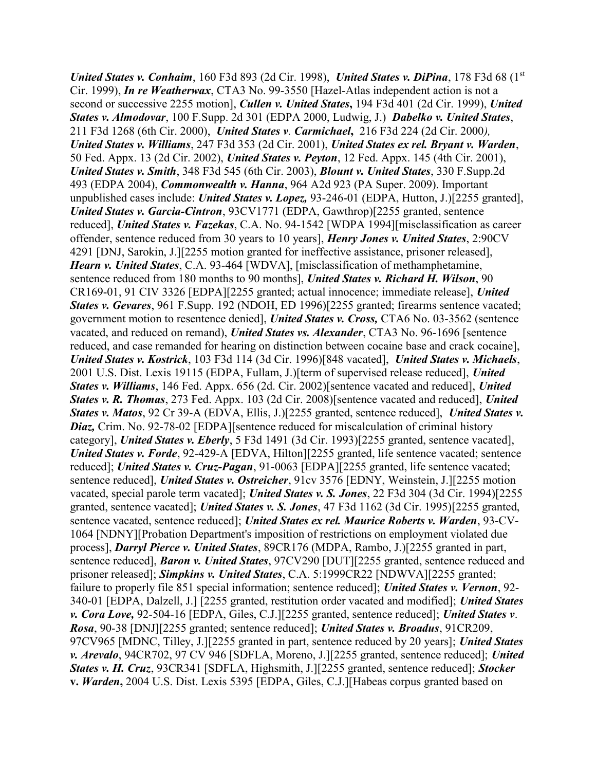United States v. Conhaim, 160 F3d 893 (2d Cir. 1998), United States v. DiPina, 178 F3d 68 ( $1<sup>st</sup>$ Cir. 1999), In re Weatherwax, CTA3 No. 99-3550 [Hazel-Atlas independent action is not a second or successive 2255 motion], *Cullen v. United States*, 194 F3d 401 (2d Cir. 1999), *United* States v. Almodovar, 100 F.Supp. 2d 301 (EDPA 2000, Ludwig, J.) Dabelko v. United States, 211 F3d 1268 (6th Cir. 2000), United States v. Carmichael, 216 F3d 224 (2d Cir. 2000), United States v. Williams, 247 F3d 353 (2d Cir. 2001), United States ex rel. Bryant v. Warden, 50 Fed. Appx. 13 (2d Cir. 2002), United States v. Peyton, 12 Fed. Appx. 145 (4th Cir. 2001), United States v. Smith, 348 F3d 545 (6th Cir. 2003), Blount v. United States, 330 F.Supp.2d 493 (EDPA 2004), Commonwealth v. Hanna, 964 A2d 923 (PA Super. 2009). Important unpublished cases include: *United States v. Lopez*, 93-246-01 (EDPA, Hutton, J.)[2255 granted], United States v. Garcia-Cintron, 93CV1771 (EDPA, Gawthrop)[2255 granted, sentence reduced], United States v. Fazekas, C.A. No. 94-1542 [WDPA 1994][misclassification as career offender, sentence reduced from 30 years to 10 years], Henry Jones v. United States, 2:90CV 4291 [DNJ, Sarokin, J.][2255 motion granted for ineffective assistance, prisoner released], Hearn v. United States, C.A. 93-464 [WDVA], [misclassification of methamphetamine, sentence reduced from 180 months to 90 months], United States v. Richard H. Wilson, 90 CR169-01, 91 CIV 3326 [EDPA][2255 granted; actual innocence; immediate release], United States v. Gevares, 961 F.Supp. 192 (NDOH, ED 1996)[2255 granted; firearms sentence vacated; government motion to resentence denied], United States v. Cross, CTA6 No. 03-3562 (sentence vacated, and reduced on remand), United States vs. Alexander, CTA3 No. 96-1696 [sentence reduced, and case remanded for hearing on distinction between cocaine base and crack cocaine], United States v. Kostrick, 103 F3d 114 (3d Cir. 1996)[848 vacated], United States v. Michaels, 2001 U.S. Dist. Lexis 19115 (EDPA, Fullam, J.)[term of supervised release reduced], United States v. Williams, 146 Fed. Appx. 656 (2d. Cir. 2002)[sentence vacated and reduced], United States v. R. Thomas, 273 Fed. Appx. 103 (2d Cir. 2008) [sentence vacated and reduced], United States v. Matos, 92 Cr 39-A (EDVA, Ellis, J.)[2255 granted, sentence reduced], United States v. Diaz, Crim. No. 92-78-02 [EDPA][sentence reduced for miscalculation of criminal history category], United States v. Eberly, 5 F3d 1491 (3d Cir. 1993)[2255 granted, sentence vacated], United States v. Forde, 92-429-A [EDVA, Hilton][2255 granted, life sentence vacated; sentence reduced]; United States v. Cruz-Pagan, 91-0063 [EDPA][2255 granted, life sentence vacated; sentence reduced], United States v. Ostreicher, 91cv 3576 [EDNY, Weinstein, J.][2255 motion vacated, special parole term vacated]; *United States v. S. Jones*, 22 F3d 304 (3d Cir. 1994)[2255] granted, sentence vacated]; *United States v. S. Jones*, 47 F3d 1162 (3d Cir. 1995)[2255 granted, sentence vacated, sentence reduced]; United States ex rel. Maurice Roberts v. Warden, 93-CV-1064 [NDNY][Probation Department's imposition of restrictions on employment violated due process], Darryl Pierce v. United States, 89CR176 (MDPA, Rambo, J.)[2255 granted in part, sentence reduced], Baron v. United States, 97CV290 [DUT][2255 granted, sentence reduced and prisoner released]; Simpkins v. United States, C.A. 5:1999CR22 [NDWVA][2255 granted; failure to properly file 851 special information; sentence reduced]; *United States v. Vernon*, 92-340-01 [EDPA, Dalzell, J.] [2255 granted, restitution order vacated and modified]; *United States* v. Cora Love, 92-504-16 [EDPA, Giles, C.J.][2255 granted, sentence reduced]; United States v. Rosa, 90-38 [DNJ][2255 granted; sentence reduced]; United States v. Broadus, 91CR209, 97CV965 [MDNC, Tilley, J.][2255 granted in part, sentence reduced by 20 years]; United States v. Arevalo, 94CR702, 97 CV 946 [SDFLA, Moreno, J.][2255 granted, sentence reduced]; United States v. H. Cruz, 93CR341 [SDFLA, Highsmith, J.][2255 granted, sentence reduced]; Stocker v. Warden, 2004 U.S. Dist. Lexis 5395 [EDPA, Giles, C.J.][Habeas corpus granted based on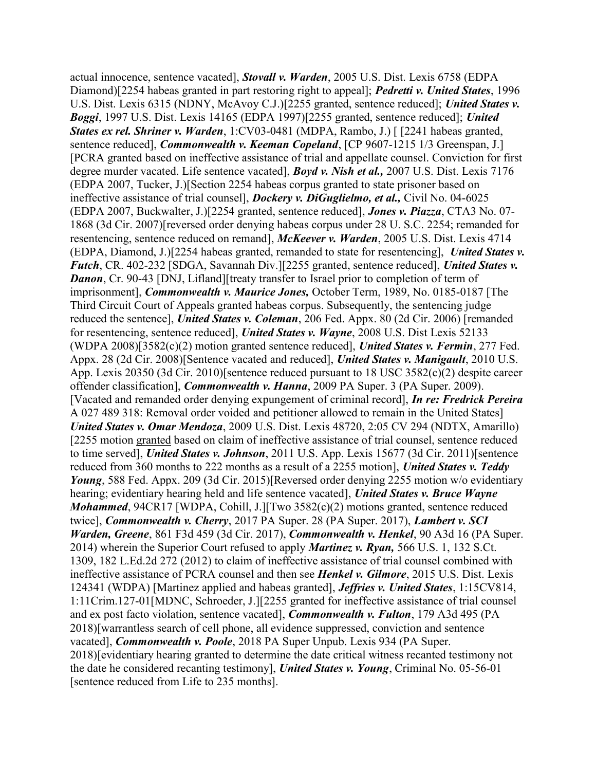actual innocence, sentence vacated], Stovall v. Warden, 2005 U.S. Dist. Lexis 6758 (EDPA Diamond)[2254 habeas granted in part restoring right to appeal]; **Pedretti v. United States**, 1996 U.S. Dist. Lexis 6315 (NDNY, McAvoy C.J.)[2255 granted, sentence reduced]; United States v. Boggi, 1997 U.S. Dist. Lexis 14165 (EDPA 1997)[2255 granted, sentence reduced]; United States ex rel. Shriner v. Warden, 1:CV03-0481 (MDPA, Rambo, J.) [[2241 habeas granted, sentence reduced], *Commonwealth v. Keeman Copeland*, [CP 9607-1215 1/3 Greenspan, J.] [PCRA granted based on ineffective assistance of trial and appellate counsel. Conviction for first degree murder vacated. Life sentence vacated], **Boyd v. Nish et al.**, 2007 U.S. Dist. Lexis 7176 (EDPA 2007, Tucker, J.)[Section 2254 habeas corpus granted to state prisoner based on ineffective assistance of trial counsel], *Dockery v. DiGuglielmo, et al.*, Civil No. 04-6025 (EDPA 2007, Buckwalter, J.)[2254 granted, sentence reduced], Jones v. Piazza, CTA3 No. 07- 1868 (3d Cir. 2007)[reversed order denying habeas corpus under 28 U. S.C. 2254; remanded for resentencing, sentence reduced on remand], McKeever v. Warden, 2005 U.S. Dist. Lexis 4714 (EDPA, Diamond, J.)[2254 habeas granted, remanded to state for resentencing], United States v. Futch, CR. 402-232 [SDGA, Savannah Div.][2255 granted, sentence reduced], United States v. **Danon, Cr. 90-43 [DNJ, Lifland]** [treaty transfer to Israel prior to completion of term of imprisonment], *Commonwealth v. Maurice Jones*, October Term, 1989, No. 0185-0187 [The Third Circuit Court of Appeals granted habeas corpus. Subsequently, the sentencing judge reduced the sentence], United States v. Coleman, 206 Fed. Appx. 80 (2d Cir. 2006) [remanded for resentencing, sentence reduced], United States v. Wayne, 2008 U.S. Dist Lexis 52133 (WDPA 2008)[3582(c)(2) motion granted sentence reduced], *United States v. Fermin*, 277 Fed. Appx. 28 (2d Cir. 2008)[Sentence vacated and reduced], *United States v. Manigault*, 2010 U.S. App. Lexis 20350 (3d Cir. 2010)[sentence reduced pursuant to 18 USC 3582(c)(2) despite career offender classification], Commonwealth v. Hanna, 2009 PA Super. 3 (PA Super. 2009). [Vacated and remanded order denying expungement of criminal record], In re: Fredrick Pereira A 027 489 318: Removal order voided and petitioner allowed to remain in the United States] United States v. Omar Mendoza, 2009 U.S. Dist. Lexis 48720, 2:05 CV 294 (NDTX, Amarillo) [2255 motion granted based on claim of ineffective assistance of trial counsel, sentence reduced to time served], United States v. Johnson, 2011 U.S. App. Lexis 15677 (3d Cir. 2011) [sentence reduced from 360 months to 222 months as a result of a 2255 motion], United States v. Teddy Young, 588 Fed. Appx. 209 (3d Cir. 2015)[Reversed order denying 2255 motion w/o evidentiary hearing; evidentiary hearing held and life sentence vacated], United States v. Bruce Wayne Mohammed, 94CR17 [WDPA, Cohill, J.][Two 3582(c)(2) motions granted, sentence reduced twice], *Commonwealth v. Cherry*, 2017 PA Super. 28 (PA Super. 2017), *Lambert v. SCI* Warden, Greene, 861 F3d 459 (3d Cir. 2017), Commonwealth v. Henkel, 90 A3d 16 (PA Super. 2014) wherein the Superior Court refused to apply **Martinez v. Ryan, 566 U.S. 1, 132 S.Ct.** 1309, 182 L.Ed.2d 272 (2012) to claim of ineffective assistance of trial counsel combined with ineffective assistance of PCRA counsel and then see **Henkel v. Gilmore**, 2015 U.S. Dist. Lexis 124341 (WDPA) [Martinez applied and habeas granted], Jeffries v. United States, 1:15CV814, 1:11Crim.127-01[MDNC, Schroeder, J.][2255 granted for ineffective assistance of trial counsel and ex post facto violation, sentence vacated], Commonwealth v. Fulton, 179 A3d 495 (PA 2018)[warrantless search of cell phone, all evidence suppressed, conviction and sentence vacated], Commonwealth v. Poole, 2018 PA Super Unpub. Lexis 934 (PA Super. 2018)[evidentiary hearing granted to determine the date critical witness recanted testimony not the date he considered recanting testimony], United States v. Young, Criminal No. 05-56-01 [sentence reduced from Life to 235 months].